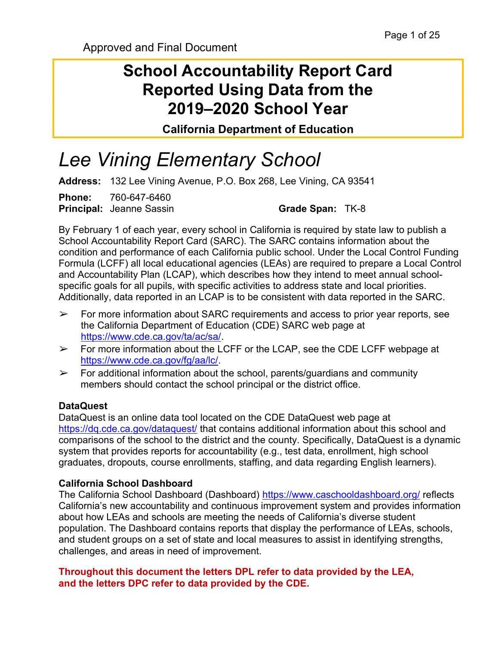## School Accountability Report Card Reported Using Data from the 2019–2020 School Year

California Department of Education

# Lee Vining Elementary School

Address: 132 Lee Vining Avenue, P.O. Box 268, Lee Vining, CA 93541

Phone: 760-647-6460 **Principal:** Jeanne Sassin Grade Span: TK-8

By February 1 of each year, every school in California is required by state law to publish a School Accountability Report Card (SARC). The SARC contains information about the condition and performance of each California public school. Under the Local Control Funding Formula (LCFF) all local educational agencies (LEAs) are required to prepare a Local Control and Accountability Plan (LCAP), which describes how they intend to meet annual schoolspecific goals for all pupils, with specific activities to address state and local priorities. Additionally, data reported in an LCAP is to be consistent with data reported in the SARC.

- $\triangleright$  For more information about SARC requirements and access to prior year reports, see the California Department of Education (CDE) SARC web page at https://www.cde.ca.gov/ta/ac/sa/.
- ➢ For more information about the LCFF or the LCAP, see the CDE LCFF webpage at https://www.cde.ca.gov/fg/aa/lc/.
- $\triangleright$  For additional information about the school, parents/guardians and community members should contact the school principal or the district office.

#### DataQuest

DataQuest is an online data tool located on the CDE DataQuest web page at https://dq.cde.ca.gov/dataquest/ that contains additional information about this school and comparisons of the school to the district and the county. Specifically, DataQuest is a dynamic system that provides reports for accountability (e.g., test data, enrollment, high school graduates, dropouts, course enrollments, staffing, and data regarding English learners).

#### California School Dashboard

The California School Dashboard (Dashboard) https://www.caschooldashboard.org/ reflects California's new accountability and continuous improvement system and provides information about how LEAs and schools are meeting the needs of California's diverse student population. The Dashboard contains reports that display the performance of LEAs, schools, and student groups on a set of state and local measures to assist in identifying strengths, challenges, and areas in need of improvement.

#### Throughout this document the letters DPL refer to data provided by the LEA, and the letters DPC refer to data provided by the CDE.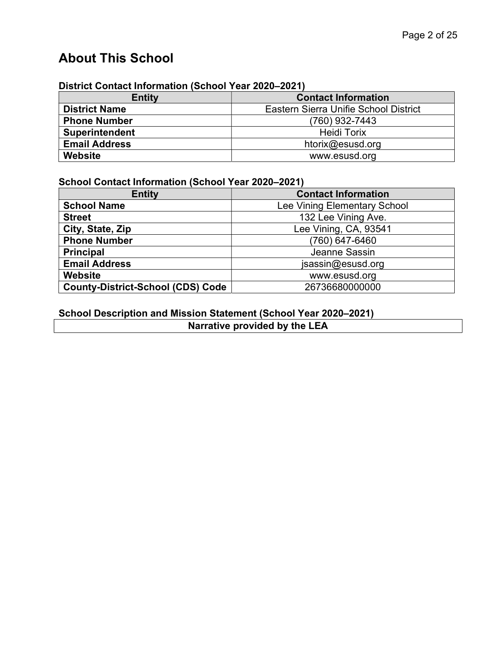## About This School

#### District Contact Information (School Year 2020–2021)

| <b>Entity</b>         | <b>Contact Information</b>            |
|-----------------------|---------------------------------------|
| <b>District Name</b>  | Eastern Sierra Unifie School District |
| <b>Phone Number</b>   | (760) 932-7443                        |
| <b>Superintendent</b> | <b>Heidi Torix</b>                    |
| <b>Email Address</b>  | htorix@esusd.org                      |
| Website               | www.esusd.org                         |

#### School Contact Information (School Year 2020–2021)

| <b>Entity</b>                            | <b>Contact Information</b>   |
|------------------------------------------|------------------------------|
| <b>School Name</b>                       | Lee Vining Elementary School |
| <b>Street</b>                            | 132 Lee Vining Ave.          |
| City, State, Zip                         | Lee Vining, CA, 93541        |
| <b>Phone Number</b>                      | (760) 647-6460               |
| <b>Principal</b>                         | Jeanne Sassin                |
| <b>Email Address</b>                     | jsassin@esusd.org            |
| Website                                  | www.esusd.org                |
| <b>County-District-School (CDS) Code</b> | 26736680000000               |

#### School Description and Mission Statement (School Year 2020–2021)

Narrative provided by the LEA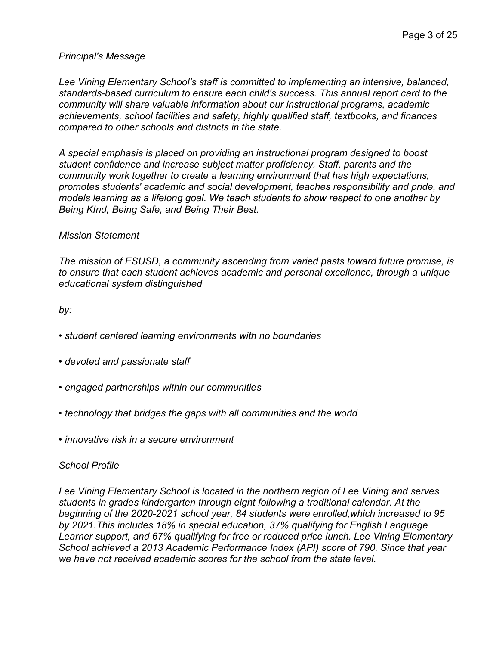#### Principal's Message

Lee Vining Elementary School's staff is committed to implementing an intensive, balanced, standards-based curriculum to ensure each child's success. This annual report card to the community will share valuable information about our instructional programs, academic achievements, school facilities and safety, highly qualified staff, textbooks, and finances compared to other schools and districts in the state.

A special emphasis is placed on providing an instructional program designed to boost student confidence and increase subject matter proficiency. Staff, parents and the community work together to create a learning environment that has high expectations, promotes students' academic and social development, teaches responsibility and pride, and models learning as a lifelong goal. We teach students to show respect to one another by Being KInd, Being Safe, and Being Their Best.

#### Mission Statement

The mission of ESUSD, a community ascending from varied pasts toward future promise, is to ensure that each student achieves academic and personal excellence, through a unique educational system distinguished

by:

- student centered learning environments with no boundaries
- devoted and passionate staff
- engaged partnerships within our communities
- technology that bridges the gaps with all communities and the world
- innovative risk in a secure environment

#### School Profile

Lee Vining Elementary School is located in the northern region of Lee Vining and serves students in grades kindergarten through eight following a traditional calendar. At the beginning of the 2020-2021 school year, 84 students were enrolled,which increased to 95 by 2021.This includes 18% in special education, 37% qualifying for English Language Learner support, and 67% qualifying for free or reduced price lunch. Lee Vining Elementary School achieved a 2013 Academic Performance Index (API) score of 790. Since that year we have not received academic scores for the school from the state level.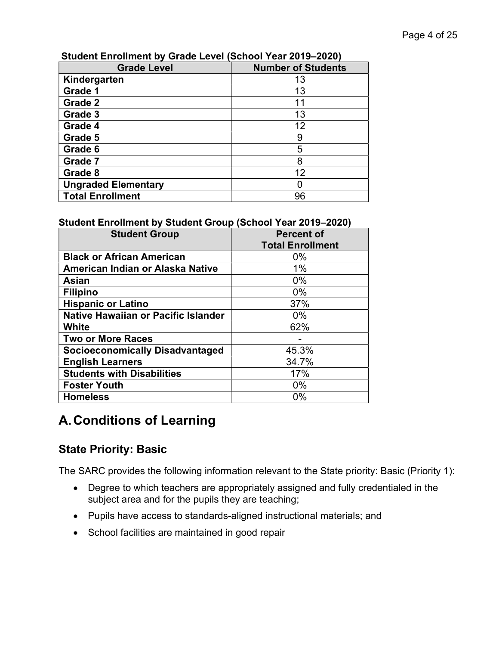| <b>Grade Level</b>         | <b>Number of Students</b> |
|----------------------------|---------------------------|
| Kindergarten               | 13                        |
| Grade 1                    | 13                        |
| Grade 2                    | 11                        |
| Grade 3                    | 13                        |
| Grade 4                    | 12                        |
| Grade 5                    | 9                         |
| Grade 6                    | 5                         |
| Grade 7                    | 8                         |
| Grade 8                    | 12                        |
| <b>Ungraded Elementary</b> |                           |
| <b>Total Enrollment</b>    | 96                        |

#### Student Enrollment by Grade Level (School Year 2019–2020)

#### Student Enrollment by Student Group (School Year 2019–2020)

| <b>Student Group</b>                       | <b>Percent of</b>       |  |  |
|--------------------------------------------|-------------------------|--|--|
|                                            | <b>Total Enrollment</b> |  |  |
| <b>Black or African American</b>           | $0\%$                   |  |  |
| American Indian or Alaska Native           | 1%                      |  |  |
| <b>Asian</b>                               | $0\%$                   |  |  |
| <b>Filipino</b>                            | $0\%$                   |  |  |
| <b>Hispanic or Latino</b>                  | 37%                     |  |  |
| <b>Native Hawaiian or Pacific Islander</b> | $0\%$                   |  |  |
| <b>White</b>                               | 62%                     |  |  |
| <b>Two or More Races</b>                   |                         |  |  |
| <b>Socioeconomically Disadvantaged</b>     | 45.3%                   |  |  |
| <b>English Learners</b>                    | 34.7%                   |  |  |
| <b>Students with Disabilities</b>          | 17%                     |  |  |
| <b>Foster Youth</b>                        | $0\%$                   |  |  |
| <b>Homeless</b>                            | 0%                      |  |  |

## A. Conditions of Learning

## State Priority: Basic

The SARC provides the following information relevant to the State priority: Basic (Priority 1):

- Degree to which teachers are appropriately assigned and fully credentialed in the subject area and for the pupils they are teaching;
- Pupils have access to standards-aligned instructional materials; and
- School facilities are maintained in good repair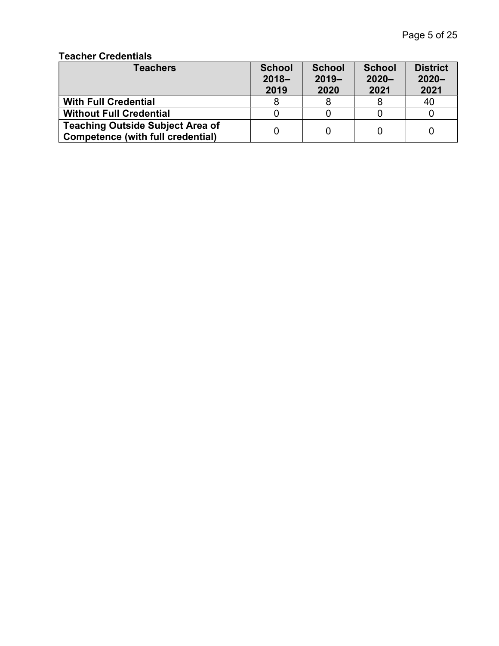#### Teacher Credentials

| <b>Teachers</b>                                                              | <b>School</b><br>$2018 -$<br>2019 | <b>School</b><br>$2019 -$<br>2020 | <b>School</b><br>$2020 -$<br>2021 | <b>District</b><br>$2020 -$<br>2021 |
|------------------------------------------------------------------------------|-----------------------------------|-----------------------------------|-----------------------------------|-------------------------------------|
| <b>With Full Credential</b>                                                  |                                   |                                   |                                   | 40                                  |
| <b>Without Full Credential</b>                                               |                                   |                                   |                                   |                                     |
| <b>Teaching Outside Subject Area of</b><br>Competence (with full credential) |                                   |                                   |                                   |                                     |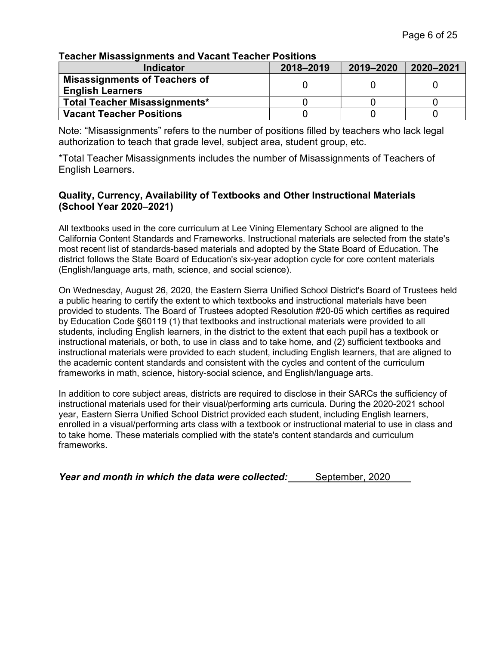#### Teacher Misassignments and Vacant Teacher Positions

| <b>Indicator</b>                                                | 2018-2019 | 2019-2020 | 2020-2021 |
|-----------------------------------------------------------------|-----------|-----------|-----------|
| <b>Misassignments of Teachers of</b><br><b>English Learners</b> |           |           |           |
| <b>Total Teacher Misassignments*</b>                            |           |           |           |
| <b>Vacant Teacher Positions</b>                                 |           |           |           |

Note: "Misassignments" refers to the number of positions filled by teachers who lack legal authorization to teach that grade level, subject area, student group, etc.

\*Total Teacher Misassignments includes the number of Misassignments of Teachers of English Learners.

#### Quality, Currency, Availability of Textbooks and Other Instructional Materials (School Year 2020–2021)

All textbooks used in the core curriculum at Lee Vining Elementary School are aligned to the California Content Standards and Frameworks. Instructional materials are selected from the state's most recent list of standards-based materials and adopted by the State Board of Education. The district follows the State Board of Education's six-year adoption cycle for core content materials (English/language arts, math, science, and social science).

On Wednesday, August 26, 2020, the Eastern Sierra Unified School District's Board of Trustees held a public hearing to certify the extent to which textbooks and instructional materials have been provided to students. The Board of Trustees adopted Resolution #20-05 which certifies as required by Education Code §60119 (1) that textbooks and instructional materials were provided to all students, including English learners, in the district to the extent that each pupil has a textbook or instructional materials, or both, to use in class and to take home, and (2) sufficient textbooks and instructional materials were provided to each student, including English learners, that are aligned to the academic content standards and consistent with the cycles and content of the curriculum frameworks in math, science, history-social science, and English/language arts.

In addition to core subject areas, districts are required to disclose in their SARCs the sufficiency of instructional materials used for their visual/performing arts curricula. During the 2020-2021 school year, Eastern Sierra Unified School District provided each student, including English learners, enrolled in a visual/performing arts class with a textbook or instructional material to use in class and to take home. These materials complied with the state's content standards and curriculum frameworks.

Year and month in which the data were collected: September, 2020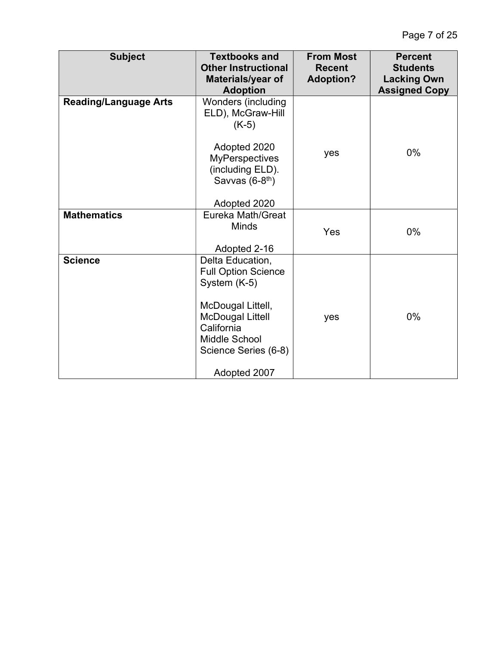| <b>Subject</b>               | <b>Textbooks and</b><br><b>Other Instructional</b><br>Materials/year of<br><b>Adoption</b> | <b>From Most</b><br><b>Recent</b><br><b>Adoption?</b> | <b>Percent</b><br><b>Students</b><br><b>Lacking Own</b><br><b>Assigned Copy</b> |
|------------------------------|--------------------------------------------------------------------------------------------|-------------------------------------------------------|---------------------------------------------------------------------------------|
| <b>Reading/Language Arts</b> | Wonders (including<br>ELD), McGraw-Hill<br>$(K-5)$<br>Adopted 2020                         |                                                       |                                                                                 |
|                              | <b>MyPerspectives</b><br>(including ELD).<br>Savvas (6-8 <sup>th</sup> )<br>Adopted 2020   | yes                                                   | 0%                                                                              |
| <b>Mathematics</b>           | Eureka Math/Great                                                                          |                                                       |                                                                                 |
|                              | <b>Minds</b>                                                                               | Yes                                                   | 0%                                                                              |
|                              | Adopted 2-16                                                                               |                                                       |                                                                                 |
| <b>Science</b>               | Delta Education,<br><b>Full Option Science</b><br>System (K-5)<br>McDougal Littell,        |                                                       |                                                                                 |
|                              | <b>McDougal Littell</b><br>California<br>Middle School<br>Science Series (6-8)             | yes                                                   | 0%                                                                              |
|                              | Adopted 2007                                                                               |                                                       |                                                                                 |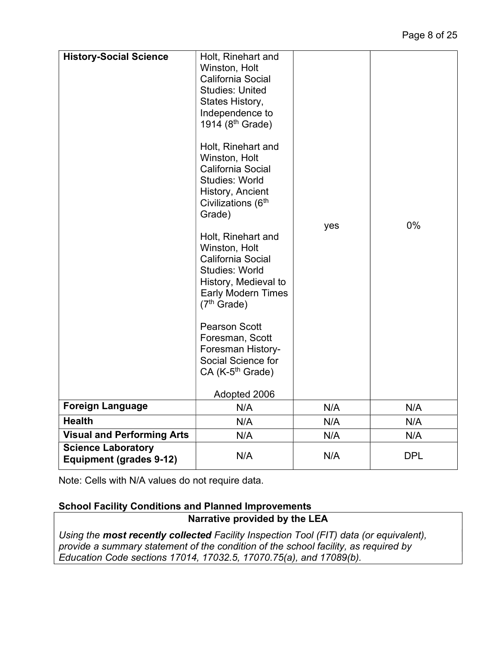| <b>History-Social Science</b>                               | Holt, Rinehart and<br>Winston, Holt<br>California Social<br><b>Studies: United</b><br>States History,<br>Independence to<br>1914 (8 <sup>th</sup> Grade)<br>Holt, Rinehart and<br>Winston, Holt<br>California Social<br><b>Studies: World</b><br>History, Ancient<br>Civilizations (6 <sup>th</sup><br>Grade)<br>Holt, Rinehart and<br>Winston, Holt<br>California Social<br><b>Studies: World</b><br>History, Medieval to<br><b>Early Modern Times</b><br>(7 <sup>th</sup> Grade)<br><b>Pearson Scott</b><br>Foresman, Scott<br>Foresman History-<br>Social Science for<br>CA (K-5 <sup>th</sup> Grade)<br>Adopted 2006 | yes | 0%         |
|-------------------------------------------------------------|--------------------------------------------------------------------------------------------------------------------------------------------------------------------------------------------------------------------------------------------------------------------------------------------------------------------------------------------------------------------------------------------------------------------------------------------------------------------------------------------------------------------------------------------------------------------------------------------------------------------------|-----|------------|
| <b>Foreign Language</b>                                     | N/A                                                                                                                                                                                                                                                                                                                                                                                                                                                                                                                                                                                                                      | N/A | N/A        |
| <b>Health</b>                                               | N/A                                                                                                                                                                                                                                                                                                                                                                                                                                                                                                                                                                                                                      | N/A | N/A        |
| <b>Visual and Performing Arts</b>                           | N/A                                                                                                                                                                                                                                                                                                                                                                                                                                                                                                                                                                                                                      | N/A | N/A        |
| <b>Science Laboratory</b><br><b>Equipment (grades 9-12)</b> | N/A                                                                                                                                                                                                                                                                                                                                                                                                                                                                                                                                                                                                                      | N/A | <b>DPL</b> |

Note: Cells with N/A values do not require data.

#### School Facility Conditions and Planned Improvements

#### Narrative provided by the LEA

Using the most recently collected Facility Inspection Tool (FIT) data (or equivalent), provide a summary statement of the condition of the school facility, as required by Education Code sections 17014, 17032.5, 17070.75(a), and 17089(b).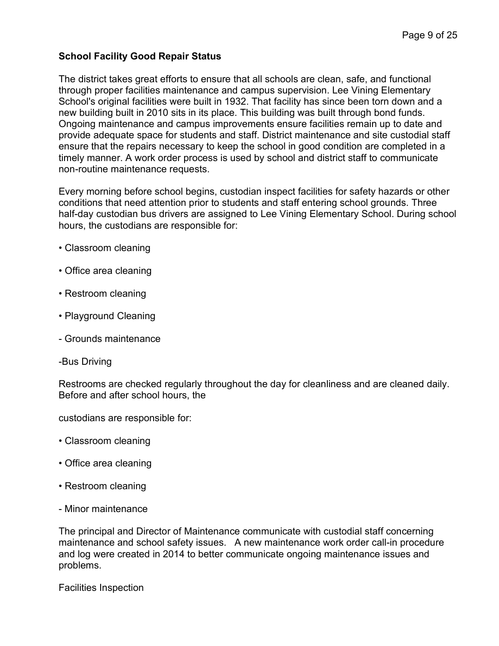#### School Facility Good Repair Status

The district takes great efforts to ensure that all schools are clean, safe, and functional through proper facilities maintenance and campus supervision. Lee Vining Elementary School's original facilities were built in 1932. That facility has since been torn down and a new building built in 2010 sits in its place. This building was built through bond funds. Ongoing maintenance and campus improvements ensure facilities remain up to date and provide adequate space for students and staff. District maintenance and site custodial staff ensure that the repairs necessary to keep the school in good condition are completed in a timely manner. A work order process is used by school and district staff to communicate non-routine maintenance requests.

Every morning before school begins, custodian inspect facilities for safety hazards or other conditions that need attention prior to students and staff entering school grounds. Three half-day custodian bus drivers are assigned to Lee Vining Elementary School. During school hours, the custodians are responsible for:

- Classroom cleaning
- Office area cleaning
- Restroom cleaning
- Playground Cleaning
- Grounds maintenance
- -Bus Driving

Restrooms are checked regularly throughout the day for cleanliness and are cleaned daily. Before and after school hours, the

custodians are responsible for:

- Classroom cleaning
- Office area cleaning
- Restroom cleaning
- Minor maintenance

The principal and Director of Maintenance communicate with custodial staff concerning maintenance and school safety issues. A new maintenance work order call-in procedure and log were created in 2014 to better communicate ongoing maintenance issues and problems.

Facilities Inspection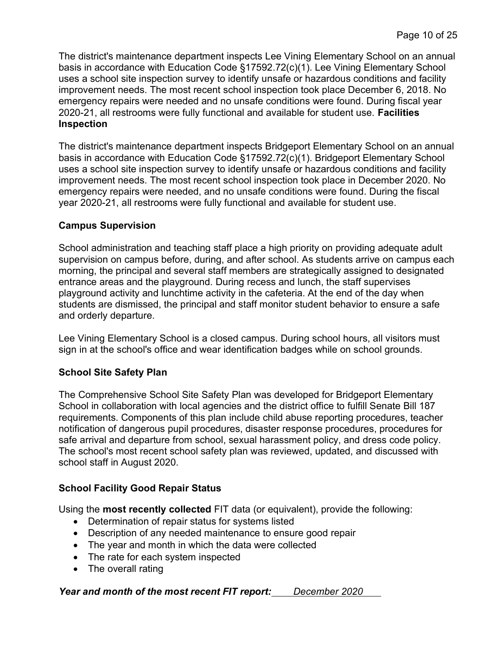The district's maintenance department inspects Lee Vining Elementary School on an annual basis in accordance with Education Code §17592.72(c)(1). Lee Vining Elementary School uses a school site inspection survey to identify unsafe or hazardous conditions and facility improvement needs. The most recent school inspection took place December 6, 2018. No emergency repairs were needed and no unsafe conditions were found. During fiscal year 2020-21, all restrooms were fully functional and available for student use. Facilities Inspection

The district's maintenance department inspects Bridgeport Elementary School on an annual basis in accordance with Education Code §17592.72(c)(1). Bridgeport Elementary School uses a school site inspection survey to identify unsafe or hazardous conditions and facility improvement needs. The most recent school inspection took place in December 2020. No emergency repairs were needed, and no unsafe conditions were found. During the fiscal year 2020-21, all restrooms were fully functional and available for student use.

#### Campus Supervision

School administration and teaching staff place a high priority on providing adequate adult supervision on campus before, during, and after school. As students arrive on campus each morning, the principal and several staff members are strategically assigned to designated entrance areas and the playground. During recess and lunch, the staff supervises playground activity and lunchtime activity in the cafeteria. At the end of the day when students are dismissed, the principal and staff monitor student behavior to ensure a safe and orderly departure.

Lee Vining Elementary School is a closed campus. During school hours, all visitors must sign in at the school's office and wear identification badges while on school grounds.

#### School Site Safety Plan

The Comprehensive School Site Safety Plan was developed for Bridgeport Elementary School in collaboration with local agencies and the district office to fulfill Senate Bill 187 requirements. Components of this plan include child abuse reporting procedures, teacher notification of dangerous pupil procedures, disaster response procedures, procedures for safe arrival and departure from school, sexual harassment policy, and dress code policy. The school's most recent school safety plan was reviewed, updated, and discussed with school staff in August 2020.

#### School Facility Good Repair Status

Using the most recently collected FIT data (or equivalent), provide the following:

- Determination of repair status for systems listed
- Description of any needed maintenance to ensure good repair
- The year and month in which the data were collected
- The rate for each system inspected
- The overall rating

#### Year and month of the most recent FIT report: December 2020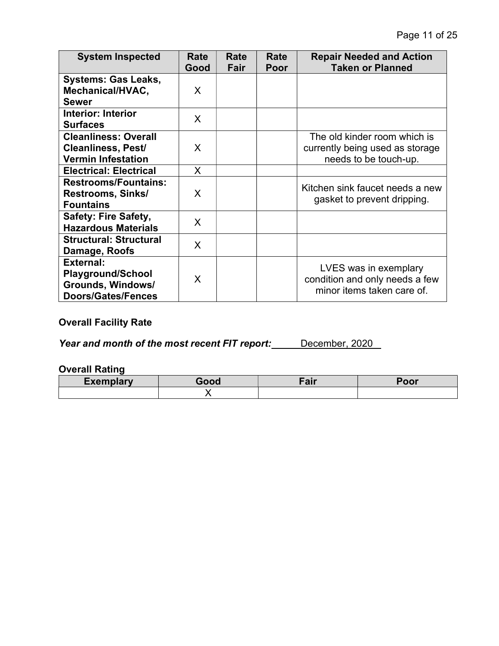| <b>System Inspected</b>                                                                        | Rate<br>Good | Rate<br>Fair | Rate<br>Poor | <b>Repair Needed and Action</b><br><b>Taken or Planned</b>                               |
|------------------------------------------------------------------------------------------------|--------------|--------------|--------------|------------------------------------------------------------------------------------------|
| <b>Systems: Gas Leaks,</b><br>Mechanical/HVAC,<br><b>Sewer</b>                                 | X            |              |              |                                                                                          |
| Interior: Interior<br><b>Surfaces</b>                                                          | X            |              |              |                                                                                          |
| <b>Cleanliness: Overall</b><br><b>Cleanliness, Pest/</b><br><b>Vermin Infestation</b>          | X            |              |              | The old kinder room which is<br>currently being used as storage<br>needs to be touch-up. |
| <b>Electrical: Electrical</b>                                                                  | $\mathsf{X}$ |              |              |                                                                                          |
| <b>Restrooms/Fountains:</b><br><b>Restrooms, Sinks/</b><br><b>Fountains</b>                    | X            |              |              | Kitchen sink faucet needs a new<br>gasket to prevent dripping.                           |
| <b>Safety: Fire Safety,</b><br><b>Hazardous Materials</b>                                      | X            |              |              |                                                                                          |
| <b>Structural: Structural</b><br>Damage, Roofs                                                 | X            |              |              |                                                                                          |
| <b>External:</b><br><b>Playground/School</b><br>Grounds, Windows/<br><b>Doors/Gates/Fences</b> | X            |              |              | LVES was in exemplary<br>condition and only needs a few<br>minor items taken care of.    |

### Overall Facility Rate

Year and month of the most recent FIT report: December, 2020

#### Overall Rating

| Exemplary | Good | Fair | $T$ <sup><math>\sim</math></sup><br>וטע |  |
|-----------|------|------|-----------------------------------------|--|
|           |      |      |                                         |  |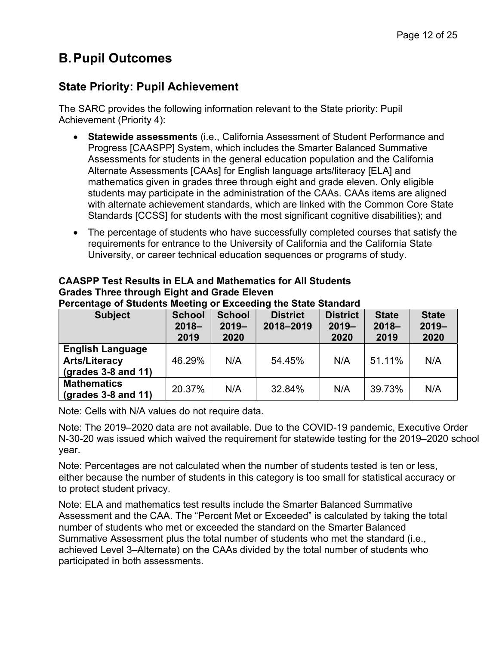## B. Pupil Outcomes

## State Priority: Pupil Achievement

The SARC provides the following information relevant to the State priority: Pupil Achievement (Priority 4):

- Statewide assessments (i.e., California Assessment of Student Performance and Progress [CAASPP] System, which includes the Smarter Balanced Summative Assessments for students in the general education population and the California Alternate Assessments [CAAs] for English language arts/literacy [ELA] and mathematics given in grades three through eight and grade eleven. Only eligible students may participate in the administration of the CAAs. CAAs items are aligned with alternate achievement standards, which are linked with the Common Core State Standards [CCSS] for students with the most significant cognitive disabilities); and
- The percentage of students who have successfully completed courses that satisfy the requirements for entrance to the University of California and the California State University, or career technical education sequences or programs of study.

| <b>Subject</b>                                                                 | <b>School</b><br>$2018 -$<br>2019 | <b>School</b><br>$2019 -$<br>2020 | <b>District</b><br>2018-2019 | <b>District</b><br>$2019 -$<br>2020 | <b>State</b><br>$2018 -$<br>2019 | <b>State</b><br>$2019 -$<br>2020 |
|--------------------------------------------------------------------------------|-----------------------------------|-----------------------------------|------------------------------|-------------------------------------|----------------------------------|----------------------------------|
| <b>English Language</b><br><b>Arts/Literacy</b><br>$\left($ grades 3-8 and 11) | 46.29%                            | N/A                               | 54.45%                       | N/A                                 | 51.11%                           | N/A                              |
| <b>Mathematics</b><br>$\left($ grades 3-8 and 11)                              | 20.37%                            | N/A                               | 32.84%                       | N/A                                 | 39.73%                           | N/A                              |

#### CAASPP Test Results in ELA and Mathematics for All Students Grades Three through Eight and Grade Eleven

Percentage of Students Meeting or Exceeding the State Standard

Note: Cells with N/A values do not require data.

Note: The 2019–2020 data are not available. Due to the COVID-19 pandemic, Executive Order N-30-20 was issued which waived the requirement for statewide testing for the 2019–2020 school year.

Note: Percentages are not calculated when the number of students tested is ten or less, either because the number of students in this category is too small for statistical accuracy or to protect student privacy.

Note: ELA and mathematics test results include the Smarter Balanced Summative Assessment and the CAA. The "Percent Met or Exceeded" is calculated by taking the total number of students who met or exceeded the standard on the Smarter Balanced Summative Assessment plus the total number of students who met the standard (i.e., achieved Level 3–Alternate) on the CAAs divided by the total number of students who participated in both assessments.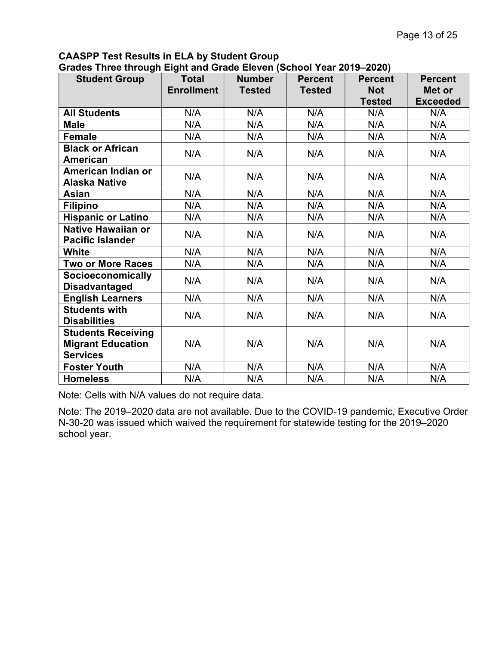## CAASPP Test Results in ELA by Student Group

| <b>Student Group</b>                                                     | <b>Total</b><br><b>Enrollment</b> | <b>Number</b><br><b>Tested</b> | <b>Percent</b><br><b>Tested</b> | <b>Percent</b><br><b>Not</b><br><b>Tested</b> | <b>Percent</b><br>Met or<br><b>Exceeded</b> |
|--------------------------------------------------------------------------|-----------------------------------|--------------------------------|---------------------------------|-----------------------------------------------|---------------------------------------------|
| <b>All Students</b>                                                      | N/A                               | N/A                            | N/A                             | N/A                                           | N/A                                         |
| <b>Male</b>                                                              | N/A                               | N/A                            | N/A                             | N/A                                           | N/A                                         |
| <b>Female</b>                                                            | N/A                               | N/A                            | N/A                             | N/A                                           | N/A                                         |
| <b>Black or African</b><br>American                                      | N/A                               | N/A                            | N/A                             | N/A                                           | N/A                                         |
| American Indian or<br><b>Alaska Native</b>                               | N/A                               | N/A                            | N/A                             | N/A                                           | N/A                                         |
| <b>Asian</b>                                                             | N/A                               | N/A                            | N/A                             | N/A                                           | N/A                                         |
| <b>Filipino</b>                                                          | N/A                               | N/A                            | N/A                             | N/A                                           | N/A                                         |
| <b>Hispanic or Latino</b>                                                | N/A                               | N/A                            | N/A                             | N/A                                           | N/A                                         |
| <b>Native Hawaiian or</b><br><b>Pacific Islander</b>                     | N/A                               | N/A                            | N/A                             | N/A                                           | N/A                                         |
| <b>White</b>                                                             | N/A                               | N/A                            | N/A                             | N/A                                           | N/A                                         |
| <b>Two or More Races</b>                                                 | N/A                               | N/A                            | N/A                             | N/A                                           | N/A                                         |
| <b>Socioeconomically</b><br><b>Disadvantaged</b>                         | N/A                               | N/A                            | N/A                             | N/A                                           | N/A                                         |
| <b>English Learners</b>                                                  | N/A                               | N/A                            | N/A                             | N/A                                           | N/A                                         |
| <b>Students with</b><br><b>Disabilities</b>                              | N/A                               | N/A                            | N/A                             | N/A                                           | N/A                                         |
| <b>Students Receiving</b><br><b>Migrant Education</b><br><b>Services</b> | N/A                               | N/A                            | N/A                             | N/A                                           | N/A                                         |
| <b>Foster Youth</b>                                                      | N/A                               | N/A                            | N/A                             | N/A                                           | N/A                                         |
| <b>Homeless</b>                                                          | N/A                               | N/A                            | N/A                             | N/A                                           | N/A                                         |

Note: Cells with N/A values do not require data.

Note: The 2019–2020 data are not available. Due to the COVID-19 pandemic, Executive Order N-30-20 was issued which waived the requirement for statewide testing for the 2019–2020 school year.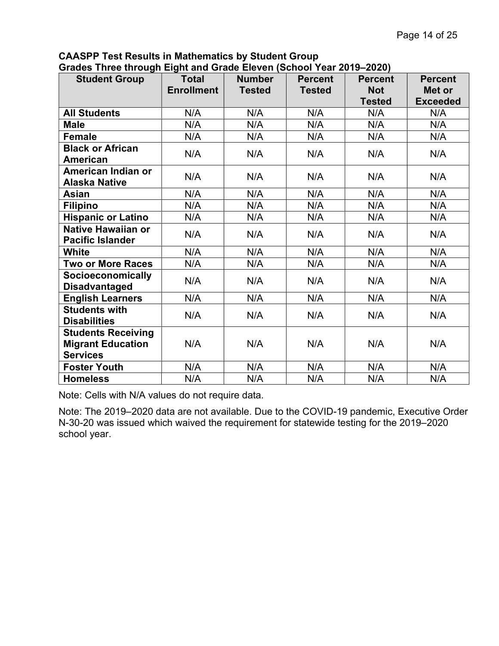| -- <i>----</i> ---<br><b>Student Group</b>                               | <b>Total</b><br><b>Enrollment</b> | <b>Number</b><br><b>Tested</b> | <b>Percent</b><br><b>Tested</b> | <b>Percent</b><br><b>Not</b><br><b>Tested</b> | <b>Percent</b><br>Met or<br><b>Exceeded</b> |
|--------------------------------------------------------------------------|-----------------------------------|--------------------------------|---------------------------------|-----------------------------------------------|---------------------------------------------|
| <b>All Students</b>                                                      | N/A                               | N/A                            | N/A                             | N/A                                           | N/A                                         |
| <b>Male</b>                                                              | N/A                               | N/A                            | N/A                             | N/A                                           | N/A                                         |
| Female                                                                   | N/A                               | N/A                            | N/A                             | N/A                                           | N/A                                         |
| <b>Black or African</b><br><b>American</b>                               | N/A                               | N/A                            | N/A                             | N/A                                           | N/A                                         |
| American Indian or<br><b>Alaska Native</b>                               | N/A                               | N/A                            | N/A                             | N/A                                           | N/A                                         |
| <b>Asian</b>                                                             | N/A                               | N/A                            | N/A                             | N/A                                           | N/A                                         |
| <b>Filipino</b>                                                          | N/A                               | N/A                            | N/A                             | N/A                                           | N/A                                         |
| <b>Hispanic or Latino</b>                                                | N/A                               | N/A                            | N/A                             | N/A                                           | N/A                                         |
| <b>Native Hawaiian or</b><br><b>Pacific Islander</b>                     | N/A                               | N/A                            | N/A                             | N/A                                           | N/A                                         |
| <b>White</b>                                                             | N/A                               | N/A                            | N/A                             | N/A                                           | N/A                                         |
| <b>Two or More Races</b>                                                 | N/A                               | N/A                            | N/A                             | N/A                                           | N/A                                         |
| <b>Socioeconomically</b><br><b>Disadvantaged</b>                         | N/A                               | N/A                            | N/A                             | N/A                                           | N/A                                         |
| <b>English Learners</b>                                                  | N/A                               | N/A                            | N/A                             | N/A                                           | N/A                                         |
| <b>Students with</b><br><b>Disabilities</b>                              | N/A                               | N/A                            | N/A                             | N/A                                           | N/A                                         |
| <b>Students Receiving</b><br><b>Migrant Education</b><br><b>Services</b> | N/A                               | N/A                            | N/A                             | N/A                                           | N/A                                         |
| <b>Foster Youth</b>                                                      | N/A                               | N/A                            | N/A                             | N/A                                           | N/A                                         |
| <b>Homeless</b>                                                          | N/A                               | N/A                            | N/A                             | N/A                                           | N/A                                         |

CAASPP Test Results in Mathematics by Student Group Grades Three through Eight and Grade Eleven (School Year 2019–2020)

Note: Cells with N/A values do not require data.

Note: The 2019–2020 data are not available. Due to the COVID-19 pandemic, Executive Order N-30-20 was issued which waived the requirement for statewide testing for the 2019–2020 school year.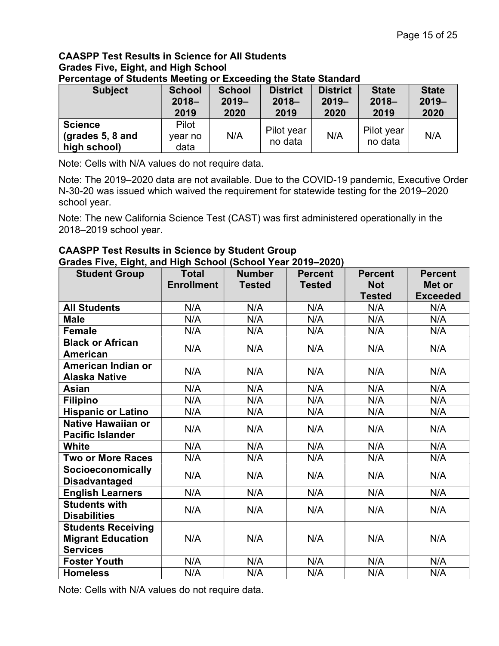#### CAASPP Test Results in Science for All Students Grades Five, Eight, and High School Percentage of Students Meeting or Exceeding the State Standard

| <b>Subject</b>                                       | <b>School</b>            | <b>School</b> | <b>District</b>       | <b>District</b> | <b>State</b>          | <b>State</b> |
|------------------------------------------------------|--------------------------|---------------|-----------------------|-----------------|-----------------------|--------------|
|                                                      | $2018 -$                 | $2019 -$      | $2018 -$              | $2019 -$        | $2018 -$              | $2019 -$     |
|                                                      | 2019                     | 2020          | 2019                  | 2020            | 2019                  | 2020         |
| <b>Science</b><br>(grades $5, 8$ and<br>high school) | Pilot<br>year no<br>data | N/A           | Pilot year<br>no data | N/A             | Pilot year<br>no data | N/A          |

Note: Cells with N/A values do not require data.

Note: The 2019–2020 data are not available. Due to the COVID-19 pandemic, Executive Order N-30-20 was issued which waived the requirement for statewide testing for the 2019–2020 school year.

Note: The new California Science Test (CAST) was first administered operationally in the 2018–2019 school year.

#### CAASPP Test Results in Science by Student Group Grades Five, Eight, and High School (School Year 2019–2020)

| <b>Student Group</b>      | <b>Total</b>      | <b>Number</b> | <b>Percent</b> | <b>Percent</b> | <b>Percent</b>  |
|---------------------------|-------------------|---------------|----------------|----------------|-----------------|
|                           | <b>Enrollment</b> | <b>Tested</b> | <b>Tested</b>  | <b>Not</b>     | Met or          |
|                           |                   |               |                | <b>Tested</b>  | <b>Exceeded</b> |
| <b>All Students</b>       | N/A               | N/A           | N/A            | N/A            | N/A             |
| <b>Male</b>               | N/A               | N/A           | N/A            | N/A            | N/A             |
| <b>Female</b>             | N/A               | N/A           | N/A            | N/A            | N/A             |
| <b>Black or African</b>   | N/A               | N/A           | N/A            | N/A            | N/A             |
| <b>American</b>           |                   |               |                |                |                 |
| American Indian or        | N/A               | N/A           | N/A            | N/A            | N/A             |
| <b>Alaska Native</b>      |                   |               |                |                |                 |
| Asian                     | N/A               | N/A           | N/A            | N/A            | N/A             |
| <b>Filipino</b>           | N/A               | N/A           | N/A            | N/A            | N/A             |
| <b>Hispanic or Latino</b> | N/A               | N/A           | N/A            | N/A            | N/A             |
| <b>Native Hawaiian or</b> | N/A               | N/A           | N/A            | N/A            | N/A             |
| <b>Pacific Islander</b>   |                   |               |                |                |                 |
| <b>White</b>              | N/A               | N/A           | N/A            | N/A            | N/A             |
| <b>Two or More Races</b>  | N/A               | N/A           | N/A            | N/A            | N/A             |
| <b>Socioeconomically</b>  | N/A               | N/A           | N/A            | N/A            | N/A             |
| <b>Disadvantaged</b>      |                   |               |                |                |                 |
| <b>English Learners</b>   | N/A               | N/A           | N/A            | N/A            | N/A             |
| <b>Students with</b>      | N/A               | N/A           | N/A            | N/A            | N/A             |
| <b>Disabilities</b>       |                   |               |                |                |                 |
| <b>Students Receiving</b> |                   |               |                |                |                 |
| <b>Migrant Education</b>  | N/A               | N/A           | N/A            | N/A            | N/A             |
| <b>Services</b>           |                   |               |                |                |                 |
| <b>Foster Youth</b>       | N/A               | N/A           | N/A            | N/A            | N/A             |
| <b>Homeless</b>           | N/A               | N/A           | N/A            | N/A            | N/A             |

Note: Cells with N/A values do not require data.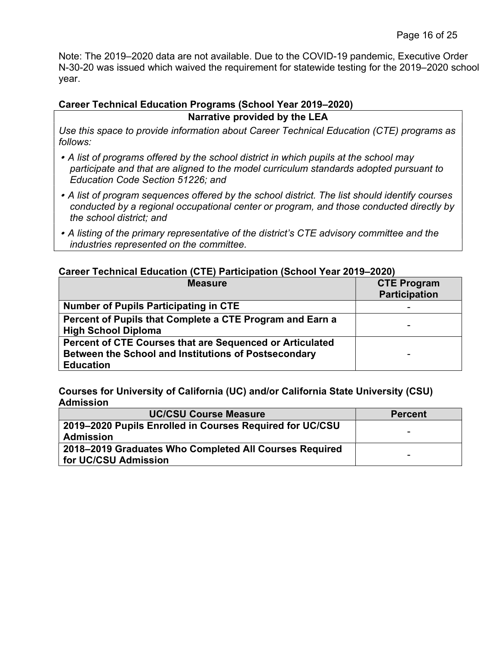Note: The 2019–2020 data are not available. Due to the COVID-19 pandemic, Executive Order N-30-20 was issued which waived the requirement for statewide testing for the 2019–2020 school year.

#### Career Technical Education Programs (School Year 2019–2020)

Narrative provided by the LEA

Use this space to provide information about Career Technical Education (CTE) programs as follows:

- A list of programs offered by the school district in which pupils at the school may participate and that are aligned to the model curriculum standards adopted pursuant to Education Code Section 51226; and
- A list of program sequences offered by the school district. The list should identify courses conducted by a regional occupational center or program, and those conducted directly by the school district; and
- A listing of the primary representative of the district's CTE advisory committee and the industries represented on the committee.

#### Career Technical Education (CTE) Participation (School Year 2019–2020)

| <b>Measure</b>                                                                                                                       | <b>CTE Program</b><br><b>Participation</b> |
|--------------------------------------------------------------------------------------------------------------------------------------|--------------------------------------------|
| <b>Number of Pupils Participating in CTE</b>                                                                                         |                                            |
| Percent of Pupils that Complete a CTE Program and Earn a<br><b>High School Diploma</b>                                               |                                            |
| Percent of CTE Courses that are Sequenced or Articulated<br>Between the School and Institutions of Postsecondary<br><b>Education</b> |                                            |

Courses for University of California (UC) and/or California State University (CSU) Admission

| <b>UC/CSU Course Measure</b>                             | <b>Percent</b> |
|----------------------------------------------------------|----------------|
| 2019–2020 Pupils Enrolled in Courses Required for UC/CSU |                |
| <b>Admission</b>                                         | -              |
| 2018–2019 Graduates Who Completed All Courses Required   |                |
| for UC/CSU Admission                                     |                |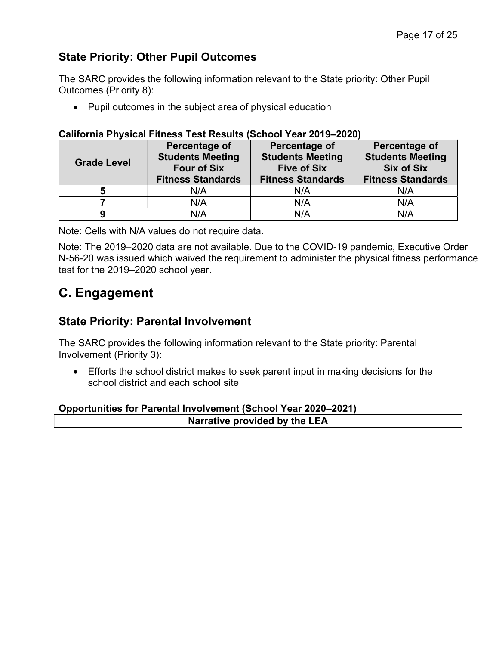## State Priority: Other Pupil Outcomes

The SARC provides the following information relevant to the State priority: Other Pupil Outcomes (Priority 8):

Pupil outcomes in the subject area of physical education

#### California Physical Fitness Test Results (School Year 2019–2020)

| <b>Grade Level</b> | Percentage of<br><b>Students Meeting</b><br><b>Four of Six</b><br><b>Fitness Standards</b> | Percentage of<br><b>Students Meeting</b><br><b>Five of Six</b><br><b>Fitness Standards</b> | <b>Percentage of</b><br><b>Students Meeting</b><br><b>Six of Six</b><br><b>Fitness Standards</b> |
|--------------------|--------------------------------------------------------------------------------------------|--------------------------------------------------------------------------------------------|--------------------------------------------------------------------------------------------------|
| b                  | N/A                                                                                        | N/A                                                                                        | N/A                                                                                              |
|                    | N/A                                                                                        | N/A                                                                                        | N/A                                                                                              |
|                    | N/A                                                                                        | N/A                                                                                        | N/A                                                                                              |

Note: Cells with N/A values do not require data.

Note: The 2019–2020 data are not available. Due to the COVID-19 pandemic, Executive Order N-56-20 was issued which waived the requirement to administer the physical fitness performance test for the 2019–2020 school year.

## C. Engagement

#### State Priority: Parental Involvement

The SARC provides the following information relevant to the State priority: Parental Involvement (Priority 3):

 Efforts the school district makes to seek parent input in making decisions for the school district and each school site

#### Opportunities for Parental Involvement (School Year 2020–2021) Narrative provided by the LEA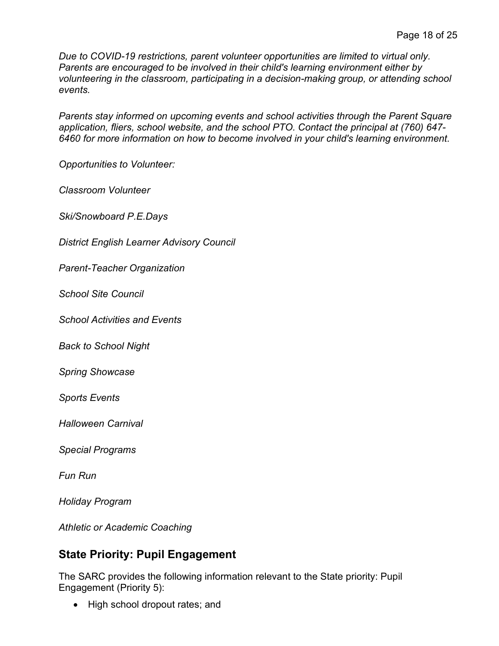Due to COVID-19 restrictions, parent volunteer opportunities are limited to virtual only. Parents are encouraged to be involved in their child's learning environment either by volunteering in the classroom, participating in a decision-making group, or attending school events.

Parents stay informed on upcoming events and school activities through the Parent Square application, fliers, school website, and the school PTO. Contact the principal at (760) 647- 6460 for more information on how to become involved in your child's learning environment.

Opportunities to Volunteer:

Classroom Volunteer

Ski/Snowboard P.E.Days

District English Learner Advisory Council

Parent-Teacher Organization

School Site Council

School Activities and Events

Back to School Night

Spring Showcase

Sports Events

Halloween Carnival

Special Programs

Fun Run

Holiday Program

Athletic or Academic Coaching

## State Priority: Pupil Engagement

The SARC provides the following information relevant to the State priority: Pupil Engagement (Priority 5):

• High school dropout rates; and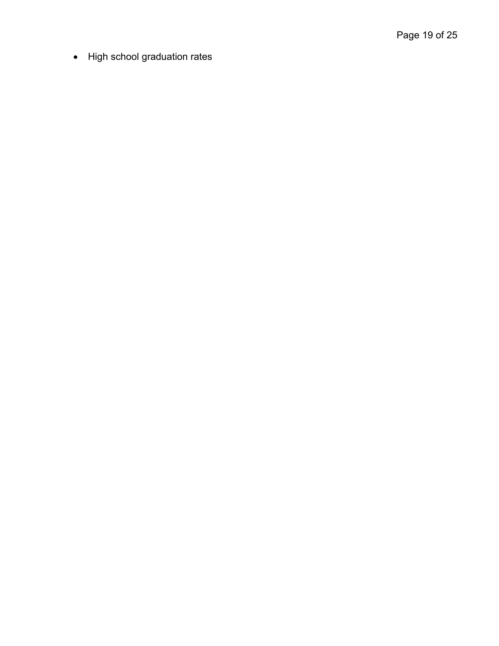• High school graduation rates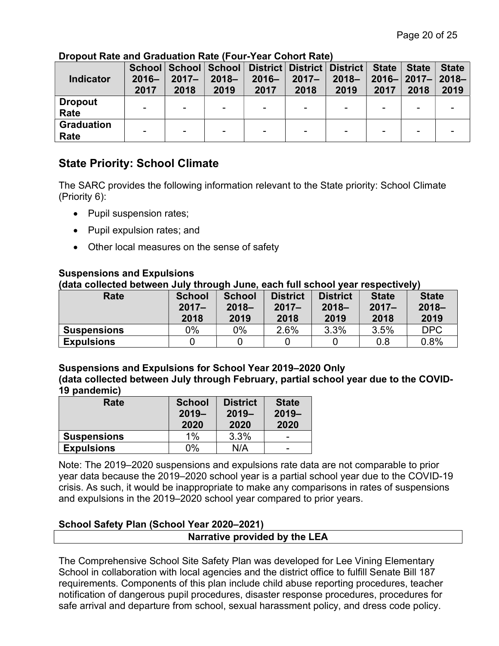| Indicator                 | $2016 -$<br>2017 | $2017 -$<br>2018         | $2018 -$<br>2019         | School   School   School   District   District   District  <br>$2016 -$<br>2017 | $2017 -$<br>2018 | $2018 -$<br>2019 | <b>State</b><br>2017 | <b>State</b><br>$2016 -  2017 -  $<br>2018 | <b>State</b><br>$2018 -$<br>2019 |
|---------------------------|------------------|--------------------------|--------------------------|---------------------------------------------------------------------------------|------------------|------------------|----------------------|--------------------------------------------|----------------------------------|
| <b>Dropout</b><br>Rate    |                  | $\overline{\phantom{0}}$ | ۰                        |                                                                                 |                  |                  |                      |                                            |                                  |
| <b>Graduation</b><br>Rate |                  | $\overline{\phantom{0}}$ | $\overline{\phantom{a}}$ |                                                                                 | -                | -                |                      | -                                          |                                  |

#### Dropout Rate and Graduation Rate (Four-Year Cohort Rate)

## State Priority: School Climate

The SARC provides the following information relevant to the State priority: School Climate (Priority 6):

- Pupil suspension rates;
- Pupil expulsion rates; and
- Other local measures on the sense of safety

#### Suspensions and Expulsions

(data collected between July through June, each full school year respectively)

| Rate               | <b>School</b><br>$2017 -$<br>2018 | <b>School</b><br>$2018 -$<br>2019 | <b>District</b><br>$2017 -$<br>2018 | <b>District</b><br>$2018 -$<br>2019 | <b>State</b><br>$2017 -$<br>2018 | <b>State</b><br>$2018 -$<br>2019 |
|--------------------|-----------------------------------|-----------------------------------|-------------------------------------|-------------------------------------|----------------------------------|----------------------------------|
| <b>Suspensions</b> | $0\%$                             | 0%                                | 2.6%                                | 3.3%                                | 3.5%                             | <b>DPC</b>                       |
| <b>Expulsions</b>  |                                   |                                   |                                     |                                     | 0.8                              | 0.8%                             |

#### Suspensions and Expulsions for School Year 2019–2020 Only

(data collected between July through February, partial school year due to the COVID-19 pandemic)

| Rate               | <b>School</b><br>$2019 -$<br>2020 | <b>District</b><br>$2019 -$<br>2020 | <b>State</b><br>$2019 -$<br>2020 |
|--------------------|-----------------------------------|-------------------------------------|----------------------------------|
| <b>Suspensions</b> | $1\%$                             | 3.3%                                | $\overline{\phantom{0}}$         |
| <b>Expulsions</b>  | 0%                                | N/A                                 | $\overline{\phantom{0}}$         |

Note: The 2019–2020 suspensions and expulsions rate data are not comparable to prior year data because the 2019–2020 school year is a partial school year due to the COVID-19 crisis. As such, it would be inappropriate to make any comparisons in rates of suspensions and expulsions in the 2019–2020 school year compared to prior years.

#### School Safety Plan (School Year 2020–2021)

#### Narrative provided by the LEA

The Comprehensive School Site Safety Plan was developed for Lee Vining Elementary School in collaboration with local agencies and the district office to fulfill Senate Bill 187 requirements. Components of this plan include child abuse reporting procedures, teacher notification of dangerous pupil procedures, disaster response procedures, procedures for safe arrival and departure from school, sexual harassment policy, and dress code policy.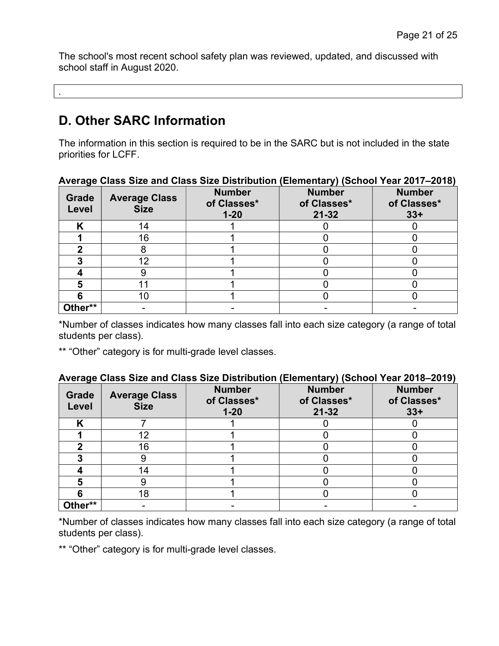The school's most recent school safety plan was reviewed, updated, and discussed with school staff in August 2020.

D. Other SARC Information

.

The information in this section is required to be in the SARC but is not included in the state priorities for LCFF.

| $1.000$ and the and the state of the state $\frac{1}{2}$ . The state $\frac{1}{2}$ (control from Eq. 1. For $\alpha$ |                                     |                                          |                                           |                                       |  |  |
|----------------------------------------------------------------------------------------------------------------------|-------------------------------------|------------------------------------------|-------------------------------------------|---------------------------------------|--|--|
| Grade<br>Level                                                                                                       | <b>Average Class</b><br><b>Size</b> | <b>Number</b><br>of Classes*<br>$1 - 20$ | <b>Number</b><br>of Classes*<br>$21 - 32$ | <b>Number</b><br>of Classes*<br>$33+$ |  |  |
|                                                                                                                      | 14                                  |                                          |                                           |                                       |  |  |
|                                                                                                                      | 16                                  |                                          |                                           |                                       |  |  |
|                                                                                                                      |                                     |                                          |                                           |                                       |  |  |
|                                                                                                                      | 12                                  |                                          |                                           |                                       |  |  |
|                                                                                                                      |                                     |                                          |                                           |                                       |  |  |
|                                                                                                                      |                                     |                                          |                                           |                                       |  |  |
|                                                                                                                      | 10                                  |                                          |                                           |                                       |  |  |
| Other**                                                                                                              |                                     |                                          |                                           |                                       |  |  |

Average Class Size and Class Size Distribution (Elementary) (School Year 2017–2018)

\*Number of classes indicates how many classes fall into each size category (a range of total students per class).

\*\* "Other" category is for multi-grade level classes.

|  | Average Class Size and Class Size Distribution (Elementary) (School Year 2018–2019) |  |
|--|-------------------------------------------------------------------------------------|--|
|  |                                                                                     |  |

| Grade<br>Level | <b>Average Class</b><br><b>Size</b> | <b>Number</b><br>of Classes*<br>$1 - 20$ | <b>Number</b><br>of Classes*<br>$21 - 32$ | <b>Number</b><br>of Classes*<br>$33+$ |
|----------------|-------------------------------------|------------------------------------------|-------------------------------------------|---------------------------------------|
|                |                                     |                                          |                                           |                                       |
|                | 12                                  |                                          |                                           |                                       |
|                | 16                                  |                                          |                                           |                                       |
|                |                                     |                                          |                                           |                                       |
|                | 4                                   |                                          |                                           |                                       |
|                |                                     |                                          |                                           |                                       |
|                | 18                                  |                                          |                                           |                                       |
| Other**        |                                     |                                          |                                           |                                       |

\*Number of classes indicates how many classes fall into each size category (a range of total students per class).

\*\* "Other" category is for multi-grade level classes.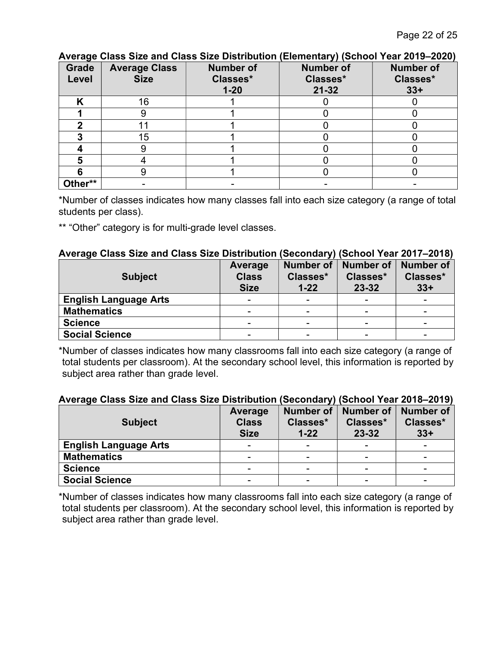| <b>Grade</b><br>Level | <b>Average Class</b><br><b>Size</b> | <b>Number of</b><br>Classes*<br>$1 - 20$ | $\sim$ $\sim$<br><b>Number of</b><br>Classes*<br>$21 - 32$ | <b>Number of</b><br>Classes*<br>$33+$ |
|-----------------------|-------------------------------------|------------------------------------------|------------------------------------------------------------|---------------------------------------|
|                       | 16                                  |                                          |                                                            |                                       |
|                       |                                     |                                          |                                                            |                                       |
|                       |                                     |                                          |                                                            |                                       |
|                       | 15                                  |                                          |                                                            |                                       |
|                       |                                     |                                          |                                                            |                                       |
|                       |                                     |                                          |                                                            |                                       |
|                       |                                     |                                          |                                                            |                                       |
| Other**               |                                     |                                          |                                                            |                                       |

#### Average Class Size and Class Size Distribution (Elementary) (School Year 2019–2020)

\*Number of classes indicates how many classes fall into each size category (a range of total students per class).

\*\* "Other" category is for multi-grade level classes.

#### Average Class Size and Class Size Distribution (Secondary) (School Year 2017–2018)

| <b>Subject</b>               | Average<br><b>Class</b><br><b>Size</b> | <b>Number of</b><br>Classes*<br>$1 - 22$ | <b>Number of</b><br>Classes*<br>23-32 | <b>Number of</b><br>Classes*<br>$33+$ |
|------------------------------|----------------------------------------|------------------------------------------|---------------------------------------|---------------------------------------|
| <b>English Language Arts</b> |                                        | -                                        |                                       |                                       |
| <b>Mathematics</b>           | -                                      | -                                        |                                       |                                       |
| <b>Science</b>               |                                        |                                          |                                       |                                       |
| <b>Social Science</b>        | -                                      | -                                        | -                                     |                                       |

\*Number of classes indicates how many classrooms fall into each size category (a range of total students per classroom). At the secondary school level, this information is reported by subject area rather than grade level.

#### Average Class Size and Class Size Distribution (Secondary) (School Year 2018–2019)

| <b>Subject</b>               | Average<br><b>Class</b><br><b>Size</b> | <b>Number of</b><br>Classes*<br>$1 - 22$ | <b>Number of</b><br>Classes*<br>$23 - 32$ | <b>Number of</b><br>Classes*<br>$33+$ |
|------------------------------|----------------------------------------|------------------------------------------|-------------------------------------------|---------------------------------------|
| <b>English Language Arts</b> |                                        | $\overline{\phantom{0}}$                 |                                           |                                       |
| <b>Mathematics</b>           |                                        |                                          |                                           |                                       |
| <b>Science</b>               | -                                      |                                          |                                           |                                       |
| <b>Social Science</b>        |                                        |                                          |                                           |                                       |

\*Number of classes indicates how many classrooms fall into each size category (a range of total students per classroom). At the secondary school level, this information is reported by subject area rather than grade level.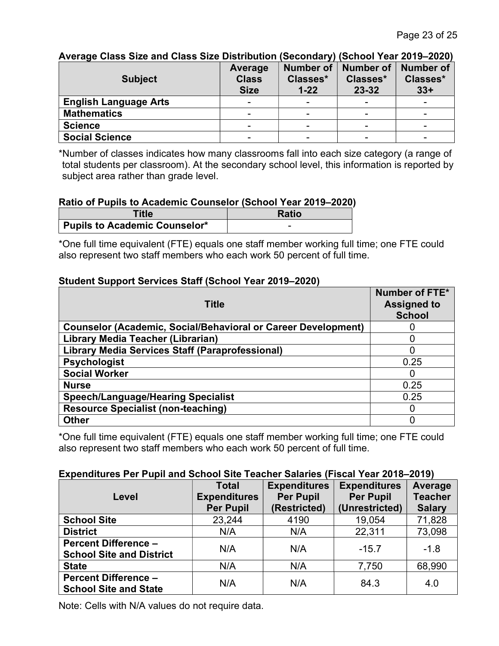| <u>Average Grass Size and Grass Size Distribution (Secondary) (School Tear Zu 19–2020)</u> |              |                  |                  |                  |
|--------------------------------------------------------------------------------------------|--------------|------------------|------------------|------------------|
|                                                                                            | Average      | <b>Number of</b> | <b>Number of</b> | <b>Number of</b> |
| <b>Subject</b>                                                                             | <b>Class</b> | Classes*         | Classes*         | Classes*         |
|                                                                                            | <b>Size</b>  | $1 - 22$         | $23 - 32$        | $33+$            |
| <b>English Language Arts</b>                                                               |              |                  |                  |                  |
| <b>Mathematics</b>                                                                         |              |                  |                  |                  |
| <b>Science</b>                                                                             |              |                  | -                |                  |
| <b>Social Science</b>                                                                      |              |                  |                  |                  |

#### Average Class Size and Class Size Distribution (Secondary) (School Year 2019–2020)

\*Number of classes indicates how many classrooms fall into each size category (a range of total students per classroom). At the secondary school level, this information is reported by subject area rather than grade level.

#### Ratio of Pupils to Academic Counselor (School Year 2019–2020)

| Title                                | <b>Ratio</b> |
|--------------------------------------|--------------|
| <b>Pupils to Academic Counselor*</b> |              |

\*One full time equivalent (FTE) equals one staff member working full time; one FTE could also represent two staff members who each work 50 percent of full time.

#### Student Support Services Staff (School Year 2019–2020)

| <b>Title</b>                                                         | Number of FTE*<br><b>Assigned to</b><br><b>School</b> |  |
|----------------------------------------------------------------------|-------------------------------------------------------|--|
| <b>Counselor (Academic, Social/Behavioral or Career Development)</b> |                                                       |  |
| Library Media Teacher (Librarian)                                    |                                                       |  |
| <b>Library Media Services Staff (Paraprofessional)</b>               | 0                                                     |  |
| <b>Psychologist</b>                                                  | 0.25                                                  |  |
| <b>Social Worker</b>                                                 | O                                                     |  |
| <b>Nurse</b>                                                         | 0.25                                                  |  |
| <b>Speech/Language/Hearing Specialist</b>                            | 0.25                                                  |  |
| <b>Resource Specialist (non-teaching)</b>                            | 0                                                     |  |
| <b>Other</b>                                                         | C                                                     |  |

\*One full time equivalent (FTE) equals one staff member working full time; one FTE could also represent two staff members who each work 50 percent of full time.

#### Expenditures Per Pupil and School Site Teacher Salaries (Fiscal Year 2018–2019)

| Level                                                          | <b>Total</b><br><b>Expenditures</b> | <b>Expenditures</b><br><b>Per Pupil</b> | <b>Expenditures</b><br><b>Per Pupil</b> | Average<br><b>Teacher</b> |
|----------------------------------------------------------------|-------------------------------------|-----------------------------------------|-----------------------------------------|---------------------------|
|                                                                | <b>Per Pupil</b>                    | (Restricted)                            | (Unrestricted)                          | <b>Salary</b>             |
| <b>School Site</b>                                             | 23,244                              | 4190                                    | 19,054                                  | 71,828                    |
| <b>District</b>                                                | N/A                                 | N/A                                     | 22,311                                  | 73,098                    |
| <b>Percent Difference -</b><br><b>School Site and District</b> | N/A                                 | N/A                                     | $-15.7$                                 | $-1.8$                    |
| <b>State</b>                                                   | N/A                                 | N/A                                     | 7,750                                   | 68,990                    |
| <b>Percent Difference -</b><br><b>School Site and State</b>    | N/A                                 | N/A                                     | 84.3                                    | 4.0                       |

Note: Cells with N/A values do not require data.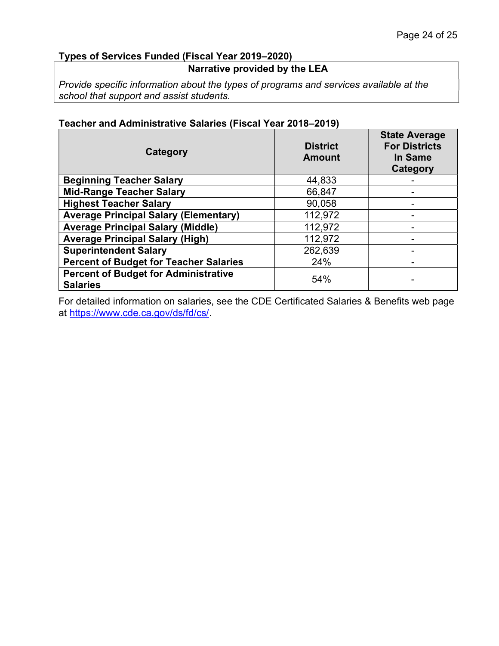#### Types of Services Funded (Fiscal Year 2019–2020)

#### Narrative provided by the LEA

Provide specific information about the types of programs and services available at the school that support and assist students.

| Category                                                       | <b>District</b><br><b>Amount</b> | <b>State Average</b><br><b>For Districts</b><br>In Same<br><b>Category</b> |
|----------------------------------------------------------------|----------------------------------|----------------------------------------------------------------------------|
| <b>Beginning Teacher Salary</b>                                | 44,833                           |                                                                            |
| <b>Mid-Range Teacher Salary</b>                                | 66,847                           |                                                                            |
| <b>Highest Teacher Salary</b>                                  | 90,058                           |                                                                            |
| <b>Average Principal Salary (Elementary)</b>                   | 112,972                          |                                                                            |
| <b>Average Principal Salary (Middle)</b>                       | 112,972                          |                                                                            |
| <b>Average Principal Salary (High)</b>                         | 112,972                          |                                                                            |
| <b>Superintendent Salary</b>                                   | 262,639                          |                                                                            |
| <b>Percent of Budget for Teacher Salaries</b>                  | 24%                              | -                                                                          |
| <b>Percent of Budget for Administrative</b><br><b>Salaries</b> | 54%                              | -                                                                          |

#### Teacher and Administrative Salaries (Fiscal Year 2018–2019)

For detailed information on salaries, see the CDE Certificated Salaries & Benefits web page at https://www.cde.ca.gov/ds/fd/cs/.